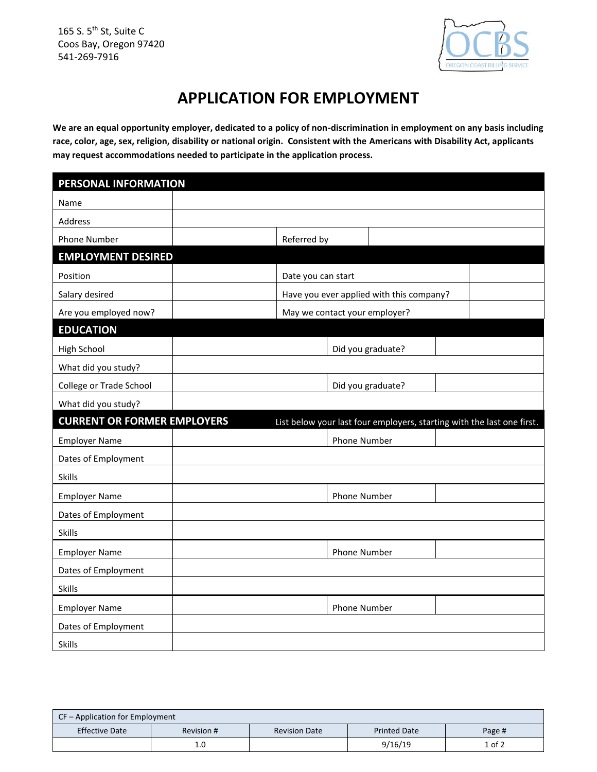165 S. 5<sup>th</sup> St, Suite C Coos Bay, Oregon 97420 541-269-7916



## **APPLICATION FOR EMPLOYMENT**

**We are an equal opportunity employer, dedicated to a policy of non-discrimination in employment on any basis including race, color, age, sex, religion, disability or national origin. Consistent with the Americans with Disability Act, applicants may request accommodations needed to participate in the application process.**

| PERSONAL INFORMATION               |                                                                        |  |  |
|------------------------------------|------------------------------------------------------------------------|--|--|
| Name                               |                                                                        |  |  |
| Address                            |                                                                        |  |  |
| <b>Phone Number</b>                | Referred by                                                            |  |  |
| <b>EMPLOYMENT DESIRED</b>          |                                                                        |  |  |
| Position                           | Date you can start                                                     |  |  |
| Salary desired                     | Have you ever applied with this company?                               |  |  |
| Are you employed now?              | May we contact your employer?                                          |  |  |
| <b>EDUCATION</b>                   |                                                                        |  |  |
| <b>High School</b>                 | Did you graduate?                                                      |  |  |
| What did you study?                |                                                                        |  |  |
| College or Trade School            | Did you graduate?                                                      |  |  |
| What did you study?                |                                                                        |  |  |
| <b>CURRENT OR FORMER EMPLOYERS</b> | List below your last four employers, starting with the last one first. |  |  |
| <b>Employer Name</b>               | <b>Phone Number</b>                                                    |  |  |
| Dates of Employment                |                                                                        |  |  |
| <b>Skills</b>                      |                                                                        |  |  |
| <b>Employer Name</b>               | <b>Phone Number</b>                                                    |  |  |
| Dates of Employment                |                                                                        |  |  |
| <b>Skills</b>                      |                                                                        |  |  |
| <b>Employer Name</b>               | <b>Phone Number</b>                                                    |  |  |
| Dates of Employment                |                                                                        |  |  |
| <b>Skills</b>                      |                                                                        |  |  |
| <b>Employer Name</b>               | <b>Phone Number</b>                                                    |  |  |
| Dates of Employment                |                                                                        |  |  |
| <b>Skills</b>                      |                                                                        |  |  |

| CF – Application for Employment |            |                      |                     |        |  |
|---------------------------------|------------|----------------------|---------------------|--------|--|
| <b>Effective Date</b>           | Revision # | <b>Revision Date</b> | <b>Printed Date</b> | Page # |  |
|                                 | 1.C        |                      | 9/16/19             | 1 of 2 |  |